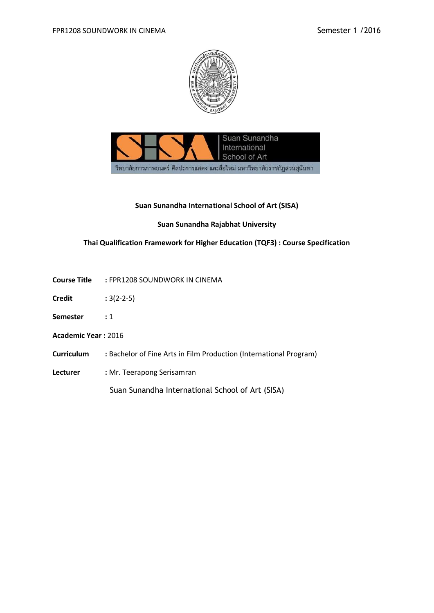



### **Suan Sunandha International School of Art (SISA)**

### **Suan Sunandha Rajabhat University**

# **Thai Qualification Framework for Higher Education (TQF3) : Course Specification**

**Course Title :** FPR1208 SOUNDWORK IN CINEMA

- **Credit :** 3(2-2-5)
- **Semester :** 1

**Academic Year :** 2016

- **Curriculum :** Bachelor of Fine Arts in Film Production (International Program)
- **Lecturer :** Mr. Teerapong Serisamran

Suan Sunandha International School of Art (SISA)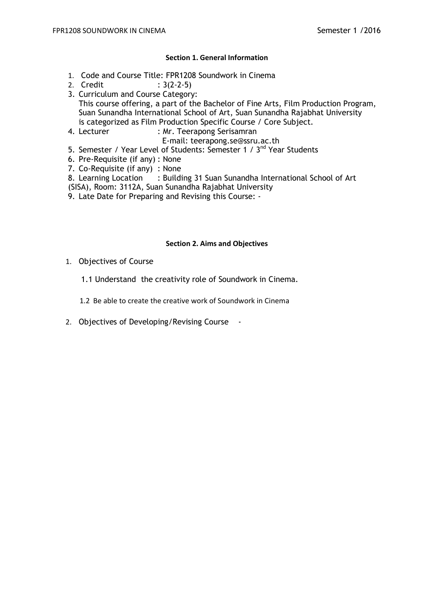## **Section 1. General Information**

- 1. Code and Course Title: FPR1208 Soundwork in Cinema
- 2. Credit : 3(2-2-5)
- 3. Curriculum and Course Category: This course offering, a part of the Bachelor of Fine Arts, Film Production Program, Suan Sunandha International School of Art, Suan Sunandha Rajabhat University is categorized as Film Production Specific Course / Core Subject.
- 4. Lecturer : Mr. Teerapong Serisamran
	- E-mail: teerapong.se@ssru.ac.th
- 5. Semester / Year Level of Students: Semester 1 / 3<sup>nd</sup> Year Students
- 6. Pre-Requisite (if any) : None
- 7. Co-Requisite (if any) : None
- 8. Learning Location : Building 31 Suan Sunandha International School of Art
- (SISA), Room: 3112A, Suan Sunandha Rajabhat University
- 9. Late Date for Preparing and Revising this Course: -

### **Section 2. Aims and Objectives**

- 1. Objectives of Course
	- 1.1 Understand the creativity role of Soundwork in Cinema.
	- 1.2 Be able to create the creative work of Soundwork in Cinema
- 2. Objectives of Developing/Revising Course -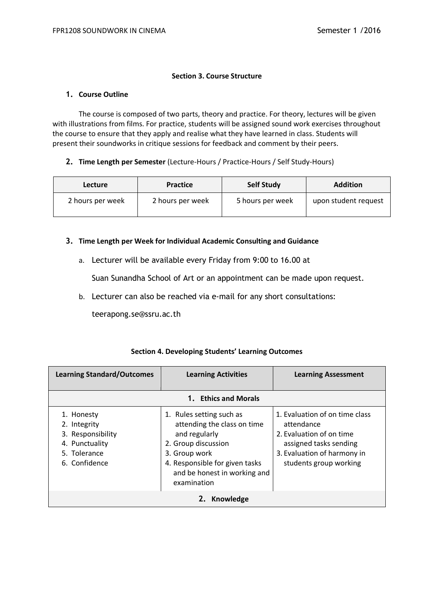#### **Section 3. Course Structure**

#### **1. Course Outline**

The course is composed of two parts, theory and practice. For theory, lectures will be given with illustrations from films. For practice, students will be assigned sound work exercises throughout the course to ensure that they apply and realise what they have learned in class. Students will present their soundworks in critique sessions for feedback and comment by their peers.

### **2. Time Length per Semester** (Lecture-Hours / Practice-Hours / Self Study-Hours)

| <b>Lecture</b>   | <b>Practice</b>  | <b>Self Study</b> | <b>Addition</b>      |
|------------------|------------------|-------------------|----------------------|
| 2 hours per week | 2 hours per week | 5 hours per week  | upon student request |

### **3. Time Length per Week for Individual Academic Consulting and Guidance**

a. Lecturer will be available every Friday from 9:00 to 16.00 at

Suan Sunandha School of Art or an appointment can be made upon request.

b. Lecturer can also be reached via e-mail for any short consultations:

teerapong.se@ssru.ac.th

# **Section 4. Developing Students' Learning Outcomes**

| <b>Learning Standard/Outcomes</b>                                                                  | <b>Learning Activities</b>                                                                                                                                                                        | <b>Learning Assessment</b>                                                                                                                                  |  |  |  |
|----------------------------------------------------------------------------------------------------|---------------------------------------------------------------------------------------------------------------------------------------------------------------------------------------------------|-------------------------------------------------------------------------------------------------------------------------------------------------------------|--|--|--|
| 1. Ethics and Morals                                                                               |                                                                                                                                                                                                   |                                                                                                                                                             |  |  |  |
| 1. Honesty<br>2. Integrity<br>3. Responsibility<br>4. Punctuality<br>5. Tolerance<br>6. Confidence | 1. Rules setting such as<br>attending the class on time<br>and regularly<br>2. Group discussion<br>3. Group work<br>4. Responsible for given tasks<br>and be honest in working and<br>examination | 1. Evaluation of on time class<br>attendance<br>2. Evaluation of on time<br>assigned tasks sending<br>3. Evaluation of harmony in<br>students group working |  |  |  |
| 2. Knowledge                                                                                       |                                                                                                                                                                                                   |                                                                                                                                                             |  |  |  |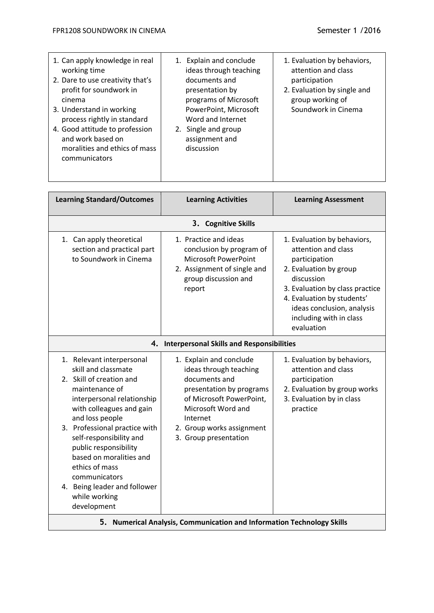| 1. Can apply knowledge in real<br>working time<br>2. Dare to use creativity that's<br>profit for soundwork in<br>cinema<br>3. Understand in working<br>process rightly in standard<br>4. Good attitude to profession<br>and work based on<br>moralities and ethics of mass<br>communicators                                                                                                    | 1. Explain and conclude<br>ideas through teaching<br>documents and<br>presentation by<br>programs of Microsoft<br>PowerPoint, Microsoft<br>Word and Internet<br>2. Single and group<br>assignment and<br>discussion | 1. Evaluation by behaviors,<br>attention and class<br>participation<br>2. Evaluation by single and<br>group working of<br>Soundwork in Cinema                                                                                                       |  |  |
|------------------------------------------------------------------------------------------------------------------------------------------------------------------------------------------------------------------------------------------------------------------------------------------------------------------------------------------------------------------------------------------------|---------------------------------------------------------------------------------------------------------------------------------------------------------------------------------------------------------------------|-----------------------------------------------------------------------------------------------------------------------------------------------------------------------------------------------------------------------------------------------------|--|--|
| <b>Learning Standard/Outcomes</b>                                                                                                                                                                                                                                                                                                                                                              | <b>Learning Activities</b>                                                                                                                                                                                          | <b>Learning Assessment</b>                                                                                                                                                                                                                          |  |  |
|                                                                                                                                                                                                                                                                                                                                                                                                | 3. Cognitive Skills                                                                                                                                                                                                 |                                                                                                                                                                                                                                                     |  |  |
| 1. Can apply theoretical<br>section and practical part<br>to Soundwork in Cinema                                                                                                                                                                                                                                                                                                               | 1. Practice and ideas<br>conclusion by program of<br>Microsoft PowerPoint<br>2. Assignment of single and<br>group discussion and<br>report                                                                          | 1. Evaluation by behaviors,<br>attention and class<br>participation<br>2. Evaluation by group<br>discussion<br>3. Evaluation by class practice<br>4. Evaluation by students'<br>ideas conclusion, analysis<br>including with in class<br>evaluation |  |  |
|                                                                                                                                                                                                                                                                                                                                                                                                | 4. Interpersonal Skills and Responsibilities                                                                                                                                                                        |                                                                                                                                                                                                                                                     |  |  |
| 1. Relevant interpersonal<br>skill and classmate<br>2. Skill of creation and<br>maintenance of<br>interpersonal relationship<br>with colleagues and gain<br>and loss people<br>3. Professional practice with<br>self-responsibility and<br>public responsibility<br>based on moralities and<br>ethics of mass<br>communicators<br>4. Being leader and follower<br>while working<br>development | 1. Explain and conclude<br>ideas through teaching<br>documents and<br>presentation by programs<br>of Microsoft PowerPoint,<br>Microsoft Word and<br>Internet<br>2. Group works assignment<br>3. Group presentation  | 1. Evaluation by behaviors,<br>attention and class<br>participation<br>2. Evaluation by group works<br>3. Evaluation by in class<br>practice                                                                                                        |  |  |
| 5. Numerical Analysis, Communication and Information Technology Skills                                                                                                                                                                                                                                                                                                                         |                                                                                                                                                                                                                     |                                                                                                                                                                                                                                                     |  |  |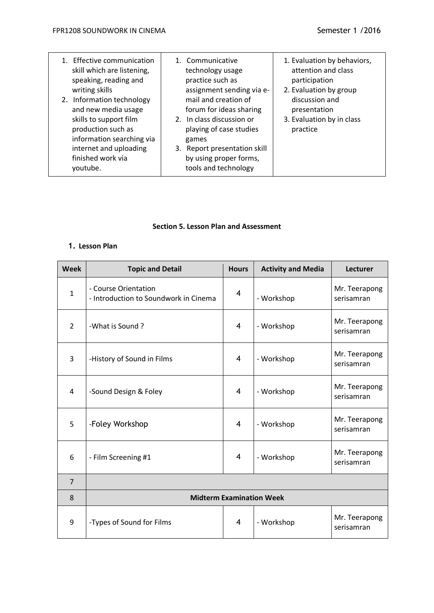| 1. Effective communication<br>skill which are listening,<br>speaking, reading and<br>writing skills<br>2. Information technology<br>and new media usage<br>skills to support film<br>production such as<br>information searching via<br>internet and uploading<br>finished work via | 1. Communicative<br>technology usage<br>practice such as<br>assignment sending via e-<br>mail and creation of<br>forum for ideas sharing<br>2. In class discussion or<br>playing of case studies<br>games<br>3. Report presentation skill<br>by using proper forms, | 1. Evaluation by behaviors,<br>attention and class<br>participation<br>2. Evaluation by group<br>discussion and<br>presentation<br>3. Evaluation by in class<br>practice |
|-------------------------------------------------------------------------------------------------------------------------------------------------------------------------------------------------------------------------------------------------------------------------------------|---------------------------------------------------------------------------------------------------------------------------------------------------------------------------------------------------------------------------------------------------------------------|--------------------------------------------------------------------------------------------------------------------------------------------------------------------------|
| voutube.                                                                                                                                                                                                                                                                            | tools and technology                                                                                                                                                                                                                                                |                                                                                                                                                                          |

#### **Section 5. Lesson Plan and Assessment**

# **1. Lesson Plan**

| <b>Week</b>    | <b>Topic and Detail</b>                                       | <b>Hours</b>   | <b>Activity and Media</b> | <b>Lecturer</b>             |
|----------------|---------------------------------------------------------------|----------------|---------------------------|-----------------------------|
| $\mathbf{1}$   | - Course Orientation<br>- Introduction to Soundwork in Cinema | $\overline{4}$ | - Workshop                | Mr. Teerapong<br>serisamran |
| $\overline{2}$ | -What is Sound?                                               | $\overline{4}$ | - Workshop                | Mr. Teerapong<br>serisamran |
| 3              | -History of Sound in Films                                    | $\overline{4}$ | - Workshop                | Mr. Teerapong<br>serisamran |
| $\overline{4}$ | -Sound Design & Foley                                         | $\overline{4}$ | - Workshop                | Mr. Teerapong<br>serisamran |
| 5              | -Foley Workshop                                               | $\overline{4}$ | - Workshop                | Mr. Teerapong<br>serisamran |
| 6              | - Film Screening #1                                           | $\overline{4}$ | - Workshop                | Mr. Teerapong<br>serisamran |
| $\overline{7}$ |                                                               |                |                           |                             |
| 8              | <b>Midterm Examination Week</b>                               |                |                           |                             |
| 9              | -Types of Sound for Films                                     | $\overline{4}$ | - Workshop                | Mr. Teerapong<br>serisamran |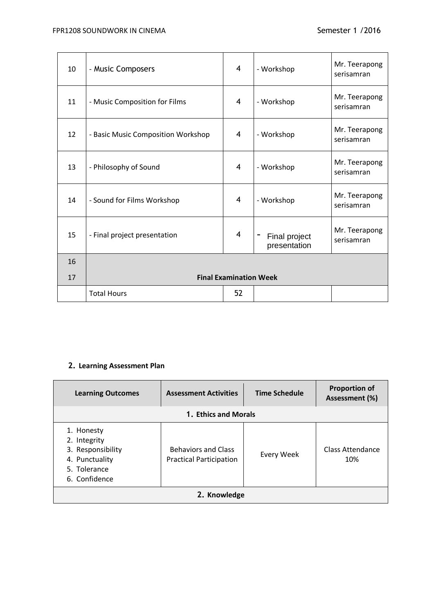# FPR1208 SOUNDWORK IN CINEMA Semester 1 /2016

| 10 | - Music Composers                  | 4              | - Workshop                    | Mr. Teerapong<br>serisamran |
|----|------------------------------------|----------------|-------------------------------|-----------------------------|
| 11 | - Music Composition for Films      | 4              | - Workshop                    | Mr. Teerapong<br>serisamran |
| 12 | - Basic Music Composition Workshop | $\overline{4}$ | - Workshop                    | Mr. Teerapong<br>serisamran |
| 13 | - Philosophy of Sound              | $\overline{4}$ | - Workshop                    | Mr. Teerapong<br>serisamran |
| 14 | - Sound for Films Workshop         | 4              | - Workshop                    | Mr. Teerapong<br>serisamran |
| 15 | - Final project presentation       | 4              | Final project<br>presentation | Mr. Teerapong<br>serisamran |
| 16 |                                    |                |                               |                             |
| 17 | <b>Final Examination Week</b>      |                |                               |                             |
|    | <b>Total Hours</b>                 | 52             |                               |                             |

# **2. Learning Assessment Plan**

| <b>Learning Outcomes</b>                                                                           | <b>Assessment Activities</b>                                 | Time Schedule | <b>Proportion of</b><br>Assessment (%) |  |
|----------------------------------------------------------------------------------------------------|--------------------------------------------------------------|---------------|----------------------------------------|--|
| 1. Ethics and Morals                                                                               |                                                              |               |                                        |  |
| 1. Honesty<br>2. Integrity<br>3. Responsibility<br>4. Punctuality<br>5. Tolerance<br>6. Confidence | <b>Behaviors and Class</b><br><b>Practical Participation</b> | Every Week    | Class Attendance<br>10%                |  |
| 2. Knowledge                                                                                       |                                                              |               |                                        |  |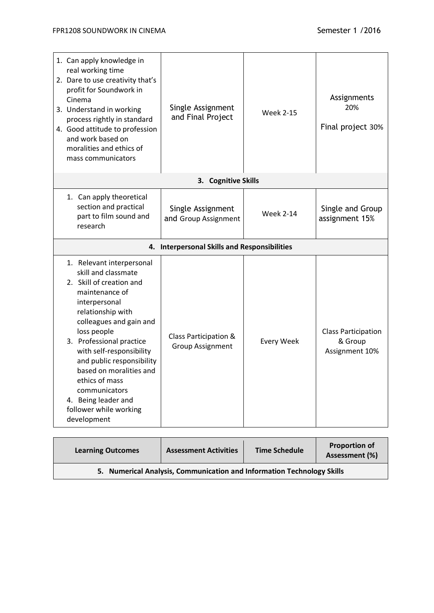| 1. Can apply knowledge in<br>real working time<br>2. Dare to use creativity that's<br>profit for Soundwork in<br>Cinema<br>3. Understand in working<br>process rightly in standard<br>4. Good attitude to profession<br>and work based on<br>moralities and ethics of<br>mass communicators                                                                                                       | Single Assignment<br>and Final Project           | <b>Week 2-15</b>  | Assignments<br>20%<br>Final project 30%                 |
|---------------------------------------------------------------------------------------------------------------------------------------------------------------------------------------------------------------------------------------------------------------------------------------------------------------------------------------------------------------------------------------------------|--------------------------------------------------|-------------------|---------------------------------------------------------|
|                                                                                                                                                                                                                                                                                                                                                                                                   | 3. Cognitive Skills                              |                   |                                                         |
| 1. Can apply theoretical<br>section and practical<br>part to film sound and<br>research                                                                                                                                                                                                                                                                                                           | Single Assignment<br>and Group Assignment        | <b>Week 2-14</b>  | Single and Group<br>assignment 15%                      |
|                                                                                                                                                                                                                                                                                                                                                                                                   | 4. Interpersonal Skills and Responsibilities     |                   |                                                         |
| 1. Relevant interpersonal<br>skill and classmate<br>2. Skill of creation and<br>maintenance of<br>interpersonal<br>relationship with<br>colleagues and gain and<br>loss people<br>3. Professional practice<br>with self-responsibility<br>and public responsibility<br>based on moralities and<br>ethics of mass<br>communicators<br>4. Being leader and<br>follower while working<br>development | Class Participation &<br><b>Group Assignment</b> | <b>Every Week</b> | <b>Class Participation</b><br>& Group<br>Assignment 10% |

| <b>Learning Outcomes</b>                                               | <b>Assessment Activities</b> | <b>Time Schedule</b> | <b>Proportion of</b><br>Assessment (%) |
|------------------------------------------------------------------------|------------------------------|----------------------|----------------------------------------|
| 5. Numerical Analysis, Communication and Information Technology Skills |                              |                      |                                        |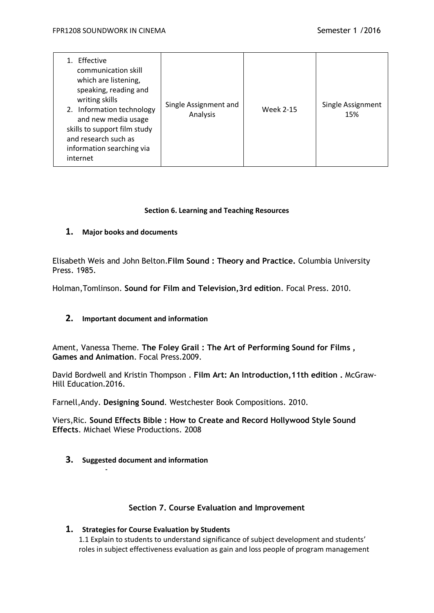| Effective<br>communication skill<br>which are listening,<br>speaking, reading and<br>writing skills<br>2. Information technology<br>and new media usage<br>skills to support film study<br>and research such as<br>information searching via<br>internet | Single Assignment and<br>Analysis | <b>Week 2-15</b> | Single Assignment<br>15% |
|----------------------------------------------------------------------------------------------------------------------------------------------------------------------------------------------------------------------------------------------------------|-----------------------------------|------------------|--------------------------|
|----------------------------------------------------------------------------------------------------------------------------------------------------------------------------------------------------------------------------------------------------------|-----------------------------------|------------------|--------------------------|

### **Section 6. Learning and Teaching Resources**

# **1. Major books and documents**

Elisabeth Weis and John Belton.**Film Sound : Theory and Practice.** Columbia University Press. 1985.

Holman,Tomlinson. **Sound for Film and Television,3rd edition**. Focal Press. 2010.

# **2. Important document and information**

Ament, Vanessa Theme. **The Foley Grail : The Art of Performing Sound for Films , Games and Animation**. Focal Press.2009.

David Bordwell and Kristin Thompson . **Film Art: An Introduction,11th edition .** McGraw-Hill Education.2016.

Farnell,Andy. **Designing Sound**. Westchester Book Compositions. 2010.

Viers,Ric. **Sound Effects Bible : How to Create and Record Hollywood Style Sound Effects**. Michael Wiese Productions. 2008

**3. Suggested document and information**

-

# **Section 7. Course Evaluation and Improvement**

# **1. Strategies for Course Evaluation by Students**

1.1 Explain to students to understand significance of subject development and students' roles in subject effectiveness evaluation as gain and loss people of program management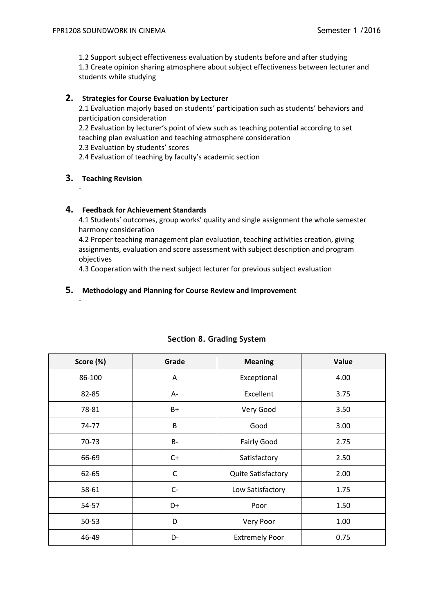1.2 Support subject effectiveness evaluation by students before and after studying 1.3 Create opinion sharing atmosphere about subject effectiveness between lecturer and students while studying

## **2. Strategies for Course Evaluation by Lecturer**

2.1 Evaluation majorly based on students' participation such as students' behaviors and participation consideration

2.2 Evaluation by lecturer's point of view such as teaching potential according to set teaching plan evaluation and teaching atmosphere consideration

2.3 Evaluation by students' scores

2.4 Evaluation of teaching by faculty's academic section

### **3. Teaching Revision**

-

-

### **4. Feedback for Achievement Standards**

4.1 Students' outcomes, group works' quality and single assignment the whole semester harmony consideration

4.2 Proper teaching management plan evaluation, teaching activities creation, giving assignments, evaluation and score assessment with subject description and program objectives

4.3 Cooperation with the next subject lecturer for previous subject evaluation

### **5. Methodology and Planning for Course Review and Improvement**

| Score (%) | Grade       | <b>Meaning</b>            | Value |
|-----------|-------------|---------------------------|-------|
| 86-100    | Α           | Exceptional               | 4.00  |
| 82-85     | А-          | Excellent                 | 3.75  |
| 78-81     | $B+$        | Very Good                 | 3.50  |
| 74-77     | B           | Good                      | 3.00  |
| 70-73     | $B-$        | <b>Fairly Good</b>        | 2.75  |
| 66-69     | $C+$        | Satisfactory              | 2.50  |
| 62-65     | $\mathsf C$ | <b>Quite Satisfactory</b> | 2.00  |
| 58-61     | $C -$       | Low Satisfactory          | 1.75  |
| 54-57     | D+          | Poor                      | 1.50  |
| $50 - 53$ | D           | Very Poor                 | 1.00  |
| 46-49     | D-          | <b>Extremely Poor</b>     | 0.75  |

# **Section 8. Grading System**